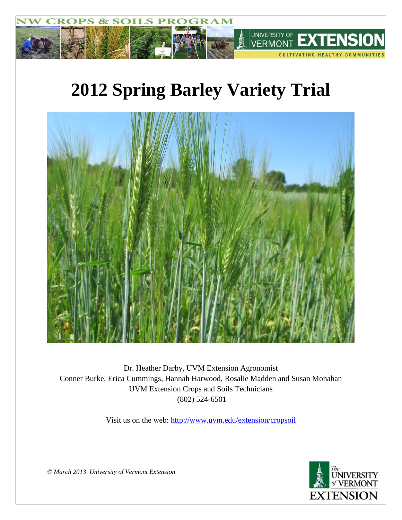

# **2012 Spring Barley Variety Trial**



Dr. Heather Darby, UVM Extension Agronomist Conner Burke, Erica Cummings, Hannah Harwood, Rosalie Madden and Susan Monahan UVM Extension Crops and Soils Technicians (802) 524-6501

Visit us on the web: <http://www.uvm.edu/extension/cropsoil>



*© March 2013, University of Vermont Extension*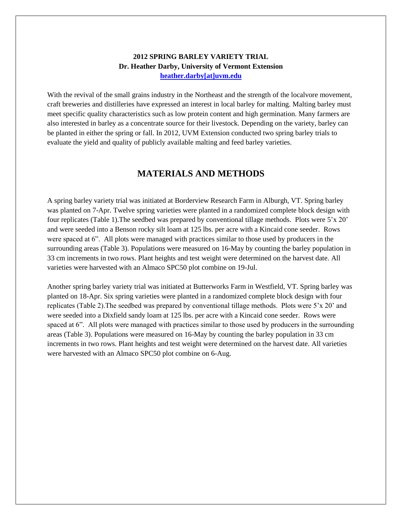### **2012 SPRING BARLEY VARIETY TRIAL Dr. Heather Darby, University of Vermont Extension [heather.darby\[at\]uvm.edu](mailto:heather.darby@uvm.edu?subject=Winter%20Barley%20Variety%20Trial)**

With the revival of the small grains industry in the Northeast and the strength of the localvore movement, craft breweries and distilleries have expressed an interest in local barley for malting. Malting barley must meet specific quality characteristics such as low protein content and high germination. Many farmers are also interested in barley as a concentrate source for their livestock. Depending on the variety, barley can be planted in either the spring or fall. In 2012, UVM Extension conducted two spring barley trials to evaluate the yield and quality of publicly available malting and feed barley varieties.

## **MATERIALS AND METHODS**

A spring barley variety trial was initiated at Borderview Research Farm in Alburgh, VT. Spring barley was planted on 7-Apr. Twelve spring varieties were planted in a randomized complete block design with four replicates (Table 1).The seedbed was prepared by conventional tillage methods. Plots were 5'x 20' and were seeded into a Benson rocky silt loam at 125 lbs. per acre with a Kincaid cone seeder. Rows were spaced at 6". All plots were managed with practices similar to those used by producers in the surrounding areas (Table 3). Populations were measured on 16-May by counting the barley population in 33 cm increments in two rows. Plant heights and test weight were determined on the harvest date. All varieties were harvested with an Almaco SPC50 plot combine on 19-Jul.

Another spring barley variety trial was initiated at Butterworks Farm in Westfield, VT. Spring barley was planted on 18-Apr. Six spring varieties were planted in a randomized complete block design with four replicates (Table 2).The seedbed was prepared by conventional tillage methods. Plots were 5'x 20' and were seeded into a Dixfield sandy loam at 125 lbs. per acre with a Kincaid cone seeder. Rows were spaced at 6". All plots were managed with practices similar to those used by producers in the surrounding areas (Table 3). Populations were measured on 16-May by counting the barley population in 33 cm increments in two rows. Plant heights and test weight were determined on the harvest date. All varieties were harvested with an Almaco SPC50 plot combine on 6-Aug.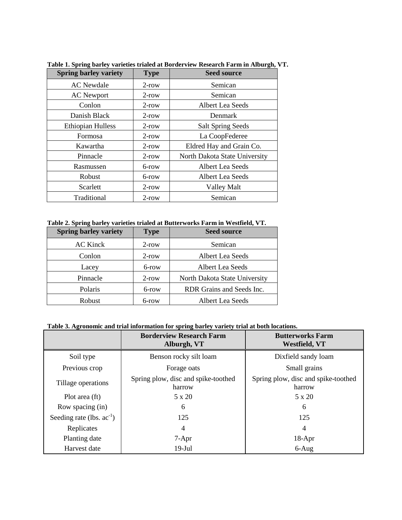| <b>Spring barley variety</b> | <b>Type</b> | <b>Seed source</b>            |
|------------------------------|-------------|-------------------------------|
| <b>AC</b> Newdale            | $2$ -row    | Semican                       |
| <b>AC</b> Newport            | $2$ -row    | Semican                       |
| Conlon                       | $2$ -row    | Albert Lea Seeds              |
| Danish Black                 | $2$ -row    | Denmark                       |
| <b>Ethiopian Hulless</b>     | $2$ -row    | <b>Salt Spring Seeds</b>      |
| Formosa                      | $2$ -row    | La CoopFederee                |
| Kawartha                     | $2$ -row    | Eldred Hay and Grain Co.      |
| Pinnacle                     | $2$ -row    | North Dakota State University |
| Rasmussen                    | 6-row       | Albert Lea Seeds              |
| Robust                       | 6-row       | Albert Lea Seeds              |
| Scarlett                     | $2$ -row    | <b>Valley Malt</b>            |
| Traditional                  | $2$ -row    | Semican                       |

**Table 1. Spring barley varieties trialed at Borderview Research Farm in Alburgh, VT.**

#### **Table 2. Spring barley varieties trialed at Butterworks Farm in Westfield, VT.**

| <b>Spring barley variety</b> | <b>Type</b> | <b>Seed source</b>            |
|------------------------------|-------------|-------------------------------|
| <b>AC Kinck</b>              | $2$ -row    | Semican                       |
| Conlon                       | $2$ -row    | Albert Lea Seeds              |
| Lacey                        | 6-row       | Albert Lea Seeds              |
| Pinnacle                     | $2$ -row    | North Dakota State University |
| Polaris                      | 6-row       | RDR Grains and Seeds Inc.     |
| Robust                       | 6-row       | Albert Lea Seeds              |

|                                | <b>Borderview Research Farm</b><br>Alburgh, VT | <b>Butterworks Farm</b><br><b>Westfield, VT</b> |
|--------------------------------|------------------------------------------------|-------------------------------------------------|
| Soil type                      | Benson rocky silt loam                         | Dixfield sandy loam                             |
| Previous crop                  | Forage oats                                    | Small grains                                    |
| Tillage operations             | Spring plow, disc and spike-toothed<br>harrow  | Spring plow, disc and spike-toothed<br>harrow   |
| Plot area (ft)                 | $5 \times 20$                                  | 5 x 20                                          |
| Row spacing (in)               | 6                                              | 6                                               |
| Seeding rate (lbs. $ac^{-1}$ ) | 125                                            | 125                                             |
| Replicates                     | 4                                              | 4                                               |
| Planting date                  | $7-Apr$                                        | $18-Apr$                                        |
| Harvest date                   | $19$ -Jul                                      | $6-Aug$                                         |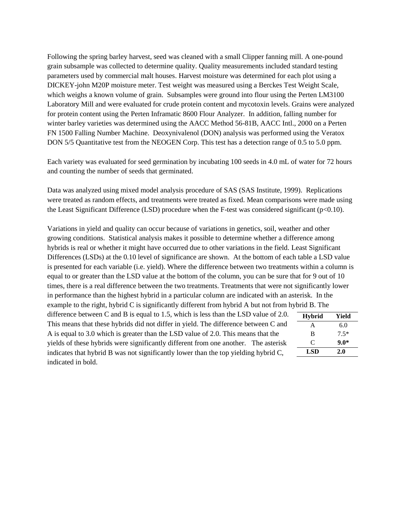Following the spring barley harvest, seed was cleaned with a small Clipper fanning mill. A one-pound grain subsample was collected to determine quality. Quality measurements included standard testing parameters used by commercial malt houses. Harvest moisture was determined for each plot using a DICKEY-john M20P moisture meter. Test weight was measured using a Berckes Test Weight Scale, which weighs a known volume of grain. Subsamples were ground into flour using the Perten LM3100 Laboratory Mill and were evaluated for crude protein content and mycotoxin levels. Grains were analyzed for protein content using the Perten Inframatic 8600 Flour Analyzer. In addition, falling number for winter barley varieties was determined using the AACC Method 56-81B, AACC Intl., 2000 on a Perten FN 1500 Falling Number Machine. Deoxynivalenol (DON) analysis was performed using the Veratox DON 5/5 Quantitative test from the NEOGEN Corp. This test has a detection range of 0.5 to 5.0 ppm.

Each variety was evaluated for seed germination by incubating 100 seeds in 4.0 mL of water for 72 hours and counting the number of seeds that germinated.

Data was analyzed using mixed model analysis procedure of SAS (SAS Institute, 1999). Replications were treated as random effects, and treatments were treated as fixed. Mean comparisons were made using the Least Significant Difference (LSD) procedure when the F-test was considered significant (p<0.10).

Variations in yield and quality can occur because of variations in genetics, soil, weather and other growing conditions. Statistical analysis makes it possible to determine whether a difference among hybrids is real or whether it might have occurred due to other variations in the field. Least Significant Differences (LSDs) at the 0.10 level of significance are shown. At the bottom of each table a LSD value is presented for each variable (i.e. yield). Where the difference between two treatments within a column is equal to or greater than the LSD value at the bottom of the column, you can be sure that for 9 out of 10 times, there is a real difference between the two treatments. Treatments that were not significantly lower in performance than the highest hybrid in a particular column are indicated with an asterisk. In the example to the right, hybrid C is significantly different from hybrid A but not from hybrid B. The

difference between C and B is equal to 1.5, which is less than the LSD value of 2.0. This means that these hybrids did not differ in yield. The difference between C and A is equal to 3.0 which is greater than the LSD value of 2.0. This means that the yields of these hybrids were significantly different from one another. The asterisk indicates that hybrid B was not significantly lower than the top yielding hybrid C, indicated in bold.

| <b>Hybrid</b> | Yield  |
|---------------|--------|
| A             | 6.0    |
| B             | $7.5*$ |
| C             | $9.0*$ |
| <b>LSD</b>    | 2.0    |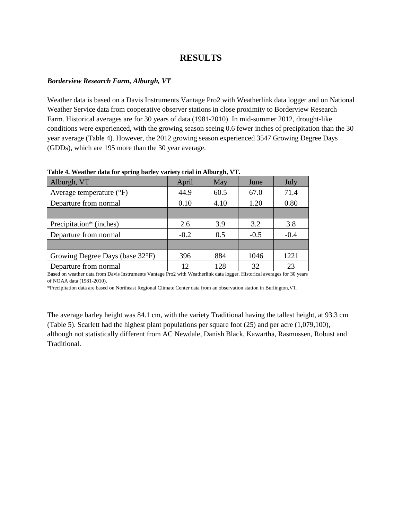## **RESULTS**

#### *Borderview Research Farm, Alburgh, VT*

Weather data is based on a Davis Instruments Vantage Pro2 with Weatherlink data logger and on National Weather Service data from cooperative observer stations in close proximity to Borderview Research Farm. Historical averages are for 30 years of data (1981-2010). In mid-summer 2012, drought-like conditions were experienced, with the growing season seeing 0.6 fewer inches of precipitation than the 30 year average (Table 4). However, the 2012 growing season experienced 3547 Growing Degree Days (GDDs), which are 195 more than the 30 year average.

| Alburgh, VT                       | April  | May  | June   | July   |
|-----------------------------------|--------|------|--------|--------|
| Average temperature $(^{\circ}F)$ | 44.9   | 60.5 | 67.0   | 71.4   |
| Departure from normal             | 0.10   | 4.10 | 1.20   | 0.80   |
|                                   |        |      |        |        |
| Precipitation* (inches)           | 2.6    | 3.9  | 3.2    | 3.8    |
| Departure from normal             | $-0.2$ | 0.5  | $-0.5$ | $-0.4$ |
|                                   |        |      |        |        |
| Growing Degree Days (base 32°F)   | 396    | 884  | 1046   | 1221   |
| Departure from normal             | 12.    | 128  | 32     | 23     |

**Table 4. Weather data for spring barley variety trial in Alburgh, VT.**

Based on weather data from Davis Instruments Vantage Pro2 with Weatherlink data logger. Historical averages for 30 years of NOAA data (1981-2010).

\*Precipitation data are based on Northeast Regional Climate Center data from an observation station in Burlington,VT.

The average barley height was 84.1 cm, with the variety Traditional having the tallest height, at 93.3 cm (Table 5). Scarlett had the highest plant populations per square foot (25) and per acre (1,079,100), although not statistically different from AC Newdale, Danish Black, Kawartha, Rasmussen, Robust and Traditional.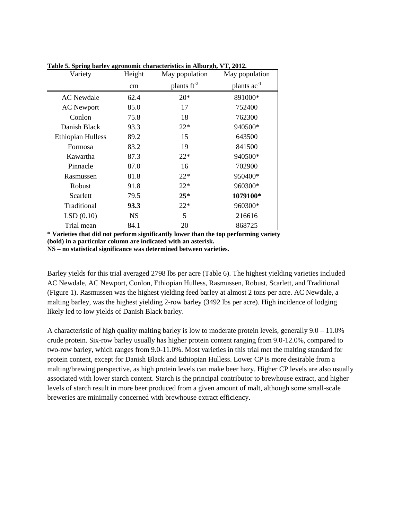| Variety                  | Height    | May population          | May population          |
|--------------------------|-----------|-------------------------|-------------------------|
|                          | cm        | plants $\text{ft}^{-2}$ | plants ac <sup>-1</sup> |
| <b>AC</b> Newdale        | 62.4      | $20*$                   | 891000*                 |
| <b>AC</b> Newport        | 85.0      | 17                      | 752400                  |
| Conlon                   | 75.8      | 18                      | 762300                  |
| Danish Black             | 93.3      | $22*$                   | 940500*                 |
| <b>Ethiopian Hulless</b> | 89.2      | 15                      | 643500                  |
| Formosa                  | 83.2      | 19                      | 841500                  |
| Kawartha                 | 87.3      | $22*$                   | 940500*                 |
| Pinnacle                 | 87.0      | 16                      | 702900                  |
| Rasmussen                | 81.8      | $22*$                   | 950400*                 |
| Robust                   | 91.8      | $22*$                   | 960300*                 |
| Scarlett                 | 79.5      | $25*$                   | 1079100*                |
| Traditional              | 93.3      | $22*$                   | 960300*                 |
| LSD(0.10)                | <b>NS</b> | 5                       | 216616                  |
| Trial mean               | 84.1      | 20                      | 868725                  |

**Table 5. Spring barley agronomic characteristics in Alburgh, VT, 2012.**

**\* Varieties that did not perform significantly lower than the top performing variety (bold) in a particular column are indicated with an asterisk. NS – no statistical significance was determined between varieties.**

Barley yields for this trial averaged 2798 lbs per acre (Table 6). The highest yielding varieties included AC Newdale, AC Newport, Conlon, Ethiopian Hulless, Rasmussen, Robust, Scarlett, and Traditional (Figure 1). Rasmussen was the highest yielding feed barley at almost 2 tons per acre. AC Newdale, a malting barley, was the highest yielding 2-row barley (3492 lbs per acre). High incidence of lodging likely led to low yields of Danish Black barley.

A characteristic of high quality malting barley is low to moderate protein levels, generally  $9.0 - 11.0\%$ crude protein. Six-row barley usually has higher protein content ranging from 9.0-12.0%, compared to two-row barley, which ranges from 9.0-11.0%. Most varieties in this trial met the malting standard for protein content, except for Danish Black and Ethiopian Hulless. Lower CP is more desirable from a malting/brewing perspective, as high protein levels can make beer hazy. Higher CP levels are also usually associated with lower starch content. Starch is the principal contributor to brewhouse extract, and higher levels of starch result in more beer produced from a given amount of malt, although some small-scale breweries are minimally concerned with brewhouse extract efficiency.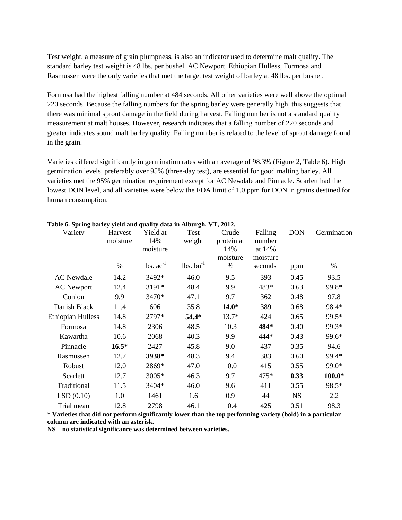Test weight, a measure of grain plumpness, is also an indicator used to determine malt quality. The standard barley test weight is 48 lbs. per bushel. AC Newport, Ethiopian Hulless, Formosa and Rasmussen were the only varieties that met the target test weight of barley at 48 lbs. per bushel.

Formosa had the highest falling number at 484 seconds. All other varieties were well above the optimal 220 seconds. Because the falling numbers for the spring barley were generally high, this suggests that there was minimal sprout damage in the field during harvest. Falling number is not a standard quality measurement at malt houses. However, research indicates that a falling number of 220 seconds and greater indicates sound malt barley quality. Falling number is related to the level of sprout damage found in the grain.

Varieties differed significantly in germination rates with an average of 98.3% (Figure 2, Table 6). High germination levels, preferably over 95% (three-day test), are essential for good malting barley. All varieties met the 95% germination requirement except for AC Newdale and Pinnacle. Scarlett had the lowest DON level, and all varieties were below the FDA limit of 1.0 ppm for DON in grains destined for human consumption.

| Variety                  | Harvest<br>moisture | Yield at<br>14% | Test<br>weight    | Crude<br>protein at | Falling<br>number | <b>DON</b> | Germination |
|--------------------------|---------------------|-----------------|-------------------|---------------------|-------------------|------------|-------------|
|                          |                     | moisture        |                   | 14%                 | at 14%            |            |             |
|                          |                     |                 |                   | moisture            | moisture          |            |             |
|                          | %                   | lbs. $ac^{-1}$  | $lbs.$ bu $^{-1}$ | %                   | seconds           | ppm        | %           |
| <b>AC</b> Newdale        | 14.2                | 3492*           | 46.0              | 9.5                 | 393               | 0.45       | 93.5        |
| <b>AC</b> Newport        | 12.4                | 3191*           | 48.4              | 9.9                 | 483*              | 0.63       | 99.8*       |
| Conlon                   | 9.9                 | 3470*           | 47.1              | 9.7                 | 362               | 0.48       | 97.8        |
| Danish Black             | 11.4                | 606             | 35.8              | $14.0*$             | 389               | 0.68       | 98.4*       |
| <b>Ethiopian Hulless</b> | 14.8                | 2797*           | 54.4*             | $13.7*$             | 424               | 0.65       | 99.5*       |
| Formosa                  | 14.8                | 2306            | 48.5              | 10.3                | 484*              | 0.40       | 99.3*       |
| Kawartha                 | 10.6                | 2068            | 40.3              | 9.9                 | 444*              | 0.43       | 99.6*       |
| Pinnacle                 | $16.5*$             | 2427            | 45.8              | 9.0                 | 437               | 0.35       | 94.6        |
| Rasmussen                | 12.7                | 3938*           | 48.3              | 9.4                 | 383               | 0.60       | 99.4*       |
| Robust                   | 12.0                | 2869*           | 47.0              | 10.0                | 415               | 0.55       | 99.0*       |
| Scarlett                 | 12.7                | 3005*           | 46.3              | 9.7                 | 475*              | 0.33       | $100.0*$    |
| Traditional              | 11.5                | 3404*           | 46.0              | 9.6                 | 411               | 0.55       | 98.5*       |
| LSD(0.10)                | 1.0                 | 1461            | 1.6               | 0.9                 | 44                | <b>NS</b>  | 2.2         |
| Trial mean               | 12.8                | 2798            | 46.1              | 10.4                | 425               | 0.51       | 98.3        |

#### **Table 6. Spring barley yield and quality data in Alburgh, VT, 2012.**

**\* Varieties that did not perform significantly lower than the top performing variety (bold) in a particular column are indicated with an asterisk.**

**NS – no statistical significance was determined between varieties.**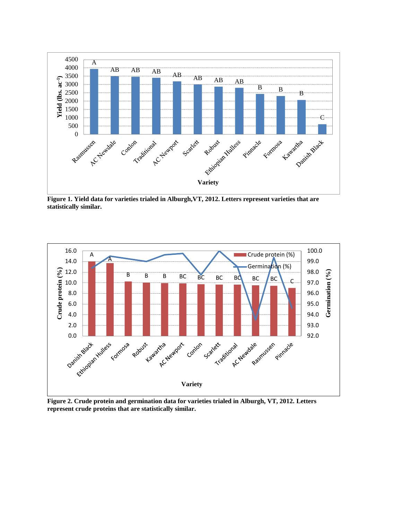

**Figure 1. Yield data for varieties trialed in Alburgh,VT, 2012. Letters represent varieties that are statistically similar.**



**Figure 2. Crude protein and germination data for varieties trialed in Alburgh, VT, 2012. Letters represent crude proteins that are statistically similar.**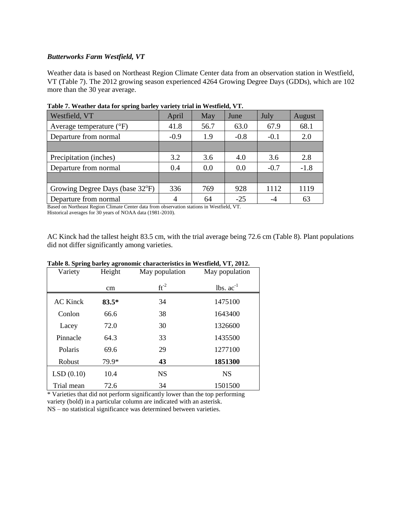#### *Butterworks Farm Westfield, VT*

Weather data is based on Northeast Region Climate Center data from an observation station in Westfield, VT (Table 7). The 2012 growing season experienced 4264 Growing Degree Days (GDDs), which are 102 more than the 30 year average.

| Westfield, VT                     | April  | May  | June   | July   | <b>August</b> |
|-----------------------------------|--------|------|--------|--------|---------------|
| Average temperature $(^{\circ}F)$ | 41.8   | 56.7 | 63.0   | 67.9   | 68.1          |
| Departure from normal             | $-0.9$ | 1.9  | $-0.8$ | $-0.1$ | 2.0           |
|                                   |        |      |        |        |               |
| Precipitation (inches)            | 3.2    | 3.6  | 4.0    | 3.6    | 2.8           |
| Departure from normal             | 0.4    | 0.0  | 0.0    | $-0.7$ | $-1.8$        |
|                                   |        |      |        |        |               |
| Growing Degree Days (base 32°F)   | 336    | 769  | 928    | 1112   | 1119          |
| Departure from normal             | 4      | 64   | $-25$  |        | 63            |

**Table 7. Weather data for spring barley variety trial in Westfield, VT.**

Based on Northeast Region Climate Center data from observation stations in Westfield, VT.

Historical averages for 30 years of NOAA data (1981-2010).

AC Kinck had the tallest height 83.5 cm, with the trial average being 72.6 cm (Table 8). Plant populations did not differ significantly among varieties.

| Variety    | Height  | May population | May population |
|------------|---------|----------------|----------------|
|            | cm      | $ft^{-2}$      | lbs. $ac^{-1}$ |
| AC Kinck   | $83.5*$ | 34             | 1475100        |
| Conlon     | 66.6    | 38             | 1643400        |
| Lacey      | 72.0    | 30             | 1326600        |
| Pinnacle   | 64.3    | 33             | 1435500        |
| Polaris    | 69.6    | 29             | 1277100        |
| Robust     | 79.9*   | 43             | 1851300        |
| LSD(0.10)  | 10.4    | <b>NS</b>      | <b>NS</b>      |
| Trial mean | 72.6    | 34             | 1501500        |

#### **Table 8. Spring barley agronomic characteristics in Westfield, VT, 2012.**

\* Varieties that did not perform significantly lower than the top performing variety (bold) in a particular column are indicated with an asterisk. NS – no statistical significance was determined between varieties.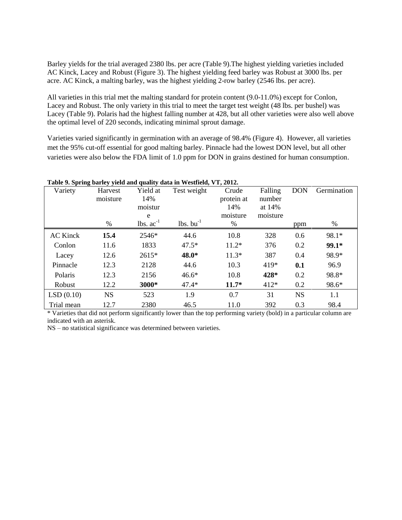Barley yields for the trial averaged 2380 lbs. per acre (Table 9).The highest yielding varieties included AC Kinck, Lacey and Robust (Figure 3). The highest yielding feed barley was Robust at 3000 lbs. per acre. AC Kinck, a malting barley, was the highest yielding 2-row barley (2546 lbs. per acre).

All varieties in this trial met the malting standard for protein content (9.0-11.0%) except for Conlon, Lacey and Robust. The only variety in this trial to meet the target test weight (48 lbs. per bushel) was Lacey (Table 9). Polaris had the highest falling number at 428, but all other varieties were also well above the optimal level of 220 seconds, indicating minimal sprout damage.

Varieties varied significantly in germination with an average of 98.4% (Figure 4). However, all varieties met the 95% cut-off essential for good malting barley. Pinnacle had the lowest DON level, but all other varieties were also below the FDA limit of 1.0 ppm for DON in grains destined for human consumption.

|                 |                     |                                 | Table 9. Spring barley yield and quality data in Westfield, VT, 2012. |                                        |                                         |            |             |
|-----------------|---------------------|---------------------------------|-----------------------------------------------------------------------|----------------------------------------|-----------------------------------------|------------|-------------|
| Variety         | Harvest<br>moisture | Yield at<br>14%<br>moistur<br>e | Test weight                                                           | Crude<br>protein at<br>14%<br>moisture | Falling<br>number<br>at 14%<br>moisture | <b>DON</b> | Germination |
|                 | $\%$                | lbs. $ac^{-1}$                  | $lbs.$ bu <sup>-1</sup>                                               | $\%$                                   |                                         | ppm        | %           |
| <b>AC Kinck</b> | 15.4                | $2546*$                         | 44.6                                                                  | 10.8                                   | 328                                     | 0.6        | 98.1*       |
| Conlon          | 11.6                | 1833                            | $47.5*$                                                               | $11.2*$                                | 376                                     | 0.2        | $99.1*$     |
| Lacey           | 12.6                | $2615*$                         | 48.0*                                                                 | $11.3*$                                | 387                                     | 0.4        | 98.9*       |
| Pinnacle        | 12.3                | 2128                            | 44.6                                                                  | 10.3                                   | $419*$                                  | 0.1        | 96.9        |
| Polaris         | 12.3                | 2156                            | $46.6*$                                                               | 10.8                                   | 428*                                    | 0.2        | 98.8*       |
| Robust          | 12.2                | 3000*                           | $47.4*$                                                               | $11.7*$                                | 412*                                    | 0.2        | 98.6*       |
| LSD(0.10)       | <b>NS</b>           | 523                             | 1.9                                                                   | 0.7                                    | 31                                      | <b>NS</b>  | 1.1         |
| Trial mean      | 12.7                | 2380                            | 46.5                                                                  | 11.0                                   | 392                                     | 0.3        | 98.4        |

\* Varieties that did not perform significantly lower than the top performing variety (bold) in a particular column are indicated with an asterisk.

NS – no statistical significance was determined between varieties.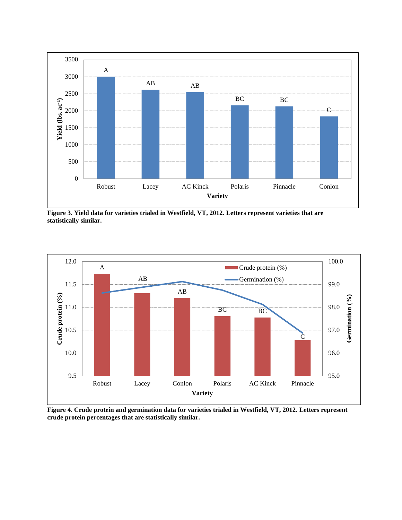

**Figure 3. Yield data for varieties trialed in Westfield, VT, 2012. Letters represent varieties that are statistically similar.** 



**Figure 4. Crude protein and germination data for varieties trialed in Westfield, VT, 2012. Letters represent crude protein percentages that are statistically similar.**